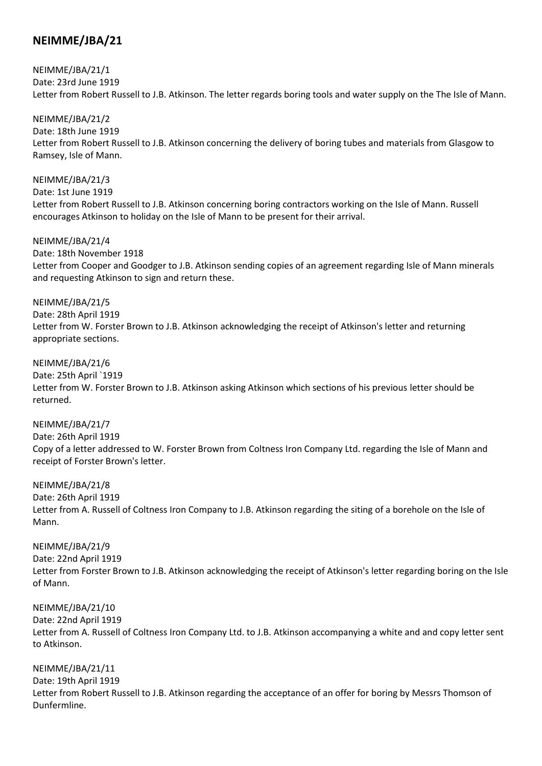# **NEIMME/JBA/21**

NEIMME/JBA/21/1 Date: 23rd June 1919 Letter from Robert Russell to J.B. Atkinson. The letter regards boring tools and water supply on the The Isle of Mann.

NEIMME/JBA/21/2 Date: 18th June 1919 Letter from Robert Russell to J.B. Atkinson concerning the delivery of boring tubes and materials from Glasgow to Ramsey, Isle of Mann.

NEIMME/JBA/21/3 Date: 1st June 1919 Letter from Robert Russell to J.B. Atkinson concerning boring contractors working on the Isle of Mann. Russell encourages Atkinson to holiday on the Isle of Mann to be present for their arrival.

NEIMME/JBA/21/4 Date: 18th November 1918 Letter from Cooper and Goodger to J.B. Atkinson sending copies of an agreement regarding Isle of Mann minerals and requesting Atkinson to sign and return these.

NEIMME/JBA/21/5 Date: 28th April 1919 Letter from W. Forster Brown to J.B. Atkinson acknowledging the receipt of Atkinson's letter and returning appropriate sections.

NEIMME/JBA/21/6 Date: 25th April `1919 Letter from W. Forster Brown to J.B. Atkinson asking Atkinson which sections of his previous letter should be returned.

NEIMME/JBA/21/7 Date: 26th April 1919 Copy of a letter addressed to W. Forster Brown from Coltness Iron Company Ltd. regarding the Isle of Mann and receipt of Forster Brown's letter.

NEIMME/JBA/21/8 Date: 26th April 1919 Letter from A. Russell of Coltness Iron Company to J.B. Atkinson regarding the siting of a borehole on the Isle of Mann.

NEIMME/JBA/21/9 Date: 22nd April 1919 Letter from Forster Brown to J.B. Atkinson acknowledging the receipt of Atkinson's letter regarding boring on the Isle of Mann.

NEIMME/JBA/21/10 Date: 22nd April 1919 Letter from A. Russell of Coltness Iron Company Ltd. to J.B. Atkinson accompanying a white and and copy letter sent to Atkinson.

NEIMME/JBA/21/11 Date: 19th April 1919 Letter from Robert Russell to J.B. Atkinson regarding the acceptance of an offer for boring by Messrs Thomson of Dunfermline.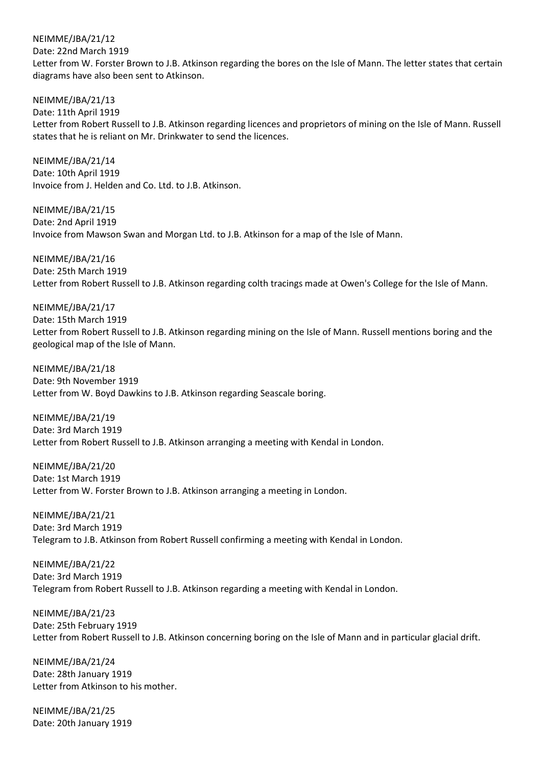NEIMME/JBA/21/12 Date: 22nd March 1919 Letter from W. Forster Brown to J.B. Atkinson regarding the bores on the Isle of Mann. The letter states that certain diagrams have also been sent to Atkinson.

NEIMME/JBA/21/13 Date: 11th April 1919 Letter from Robert Russell to J.B. Atkinson regarding licences and proprietors of mining on the Isle of Mann. Russell states that he is reliant on Mr. Drinkwater to send the licences.

NEIMME/JBA/21/14 Date: 10th April 1919 Invoice from J. Helden and Co. Ltd. to J.B. Atkinson.

NEIMME/JBA/21/15 Date: 2nd April 1919 Invoice from Mawson Swan and Morgan Ltd. to J.B. Atkinson for a map of the Isle of Mann.

NEIMME/JBA/21/16 Date: 25th March 1919 Letter from Robert Russell to J.B. Atkinson regarding colth tracings made at Owen's College for the Isle of Mann.

NEIMME/JBA/21/17 Date: 15th March 1919 Letter from Robert Russell to J.B. Atkinson regarding mining on the Isle of Mann. Russell mentions boring and the geological map of the Isle of Mann.

NEIMME/JBA/21/18 Date: 9th November 1919 Letter from W. Boyd Dawkins to J.B. Atkinson regarding Seascale boring.

NEIMME/JBA/21/19 Date: 3rd March 1919 Letter from Robert Russell to J.B. Atkinson arranging a meeting with Kendal in London.

NEIMME/JBA/21/20 Date: 1st March 1919 Letter from W. Forster Brown to J.B. Atkinson arranging a meeting in London.

NEIMME/JBA/21/21 Date: 3rd March 1919 Telegram to J.B. Atkinson from Robert Russell confirming a meeting with Kendal in London.

NEIMME/JBA/21/22 Date: 3rd March 1919 Telegram from Robert Russell to J.B. Atkinson regarding a meeting with Kendal in London.

NEIMME/JBA/21/23 Date: 25th February 1919 Letter from Robert Russell to J.B. Atkinson concerning boring on the Isle of Mann and in particular glacial drift.

NEIMME/JBA/21/24 Date: 28th January 1919 Letter from Atkinson to his mother.

NEIMME/JBA/21/25 Date: 20th January 1919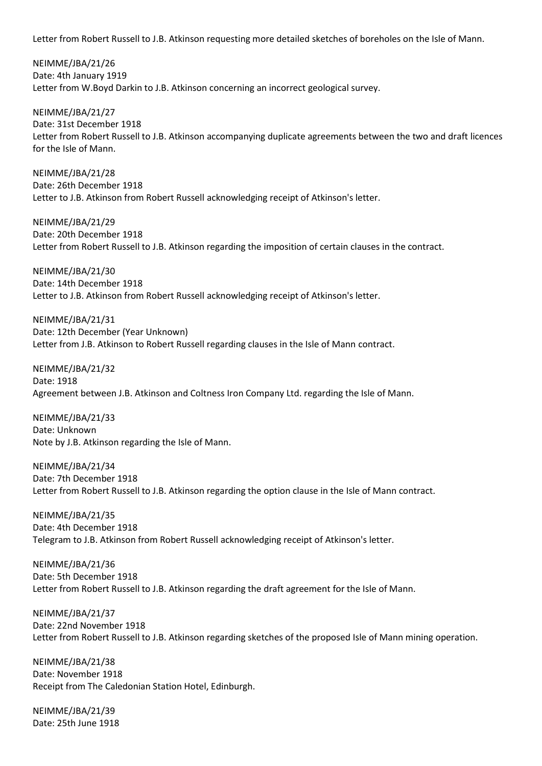Letter from Robert Russell to J.B. Atkinson requesting more detailed sketches of boreholes on the Isle of Mann.

NEIMME/JBA/21/26 Date: 4th January 1919 Letter from W.Boyd Darkin to J.B. Atkinson concerning an incorrect geological survey.

NEIMME/JBA/21/27 Date: 31st December 1918 Letter from Robert Russell to J.B. Atkinson accompanying duplicate agreements between the two and draft licences for the Isle of Mann.

NEIMME/JBA/21/28 Date: 26th December 1918 Letter to J.B. Atkinson from Robert Russell acknowledging receipt of Atkinson's letter.

NEIMME/JBA/21/29 Date: 20th December 1918 Letter from Robert Russell to J.B. Atkinson regarding the imposition of certain clauses in the contract.

NEIMME/JBA/21/30 Date: 14th December 1918 Letter to J.B. Atkinson from Robert Russell acknowledging receipt of Atkinson's letter.

NEIMME/JBA/21/31 Date: 12th December (Year Unknown) Letter from J.B. Atkinson to Robert Russell regarding clauses in the Isle of Mann contract.

NEIMME/JBA/21/32 Date: 1918 Agreement between J.B. Atkinson and Coltness Iron Company Ltd. regarding the Isle of Mann.

NEIMME/JBA/21/33 Date: Unknown Note by J.B. Atkinson regarding the Isle of Mann.

NEIMME/JBA/21/34 Date: 7th December 1918 Letter from Robert Russell to J.B. Atkinson regarding the option clause in the Isle of Mann contract.

NEIMME/JBA/21/35 Date: 4th December 1918 Telegram to J.B. Atkinson from Robert Russell acknowledging receipt of Atkinson's letter.

NEIMME/JBA/21/36 Date: 5th December 1918 Letter from Robert Russell to J.B. Atkinson regarding the draft agreement for the Isle of Mann.

NEIMME/JBA/21/37 Date: 22nd November 1918 Letter from Robert Russell to J.B. Atkinson regarding sketches of the proposed Isle of Mann mining operation.

NEIMME/JBA/21/38 Date: November 1918 Receipt from The Caledonian Station Hotel, Edinburgh.

NEIMME/JBA/21/39 Date: 25th June 1918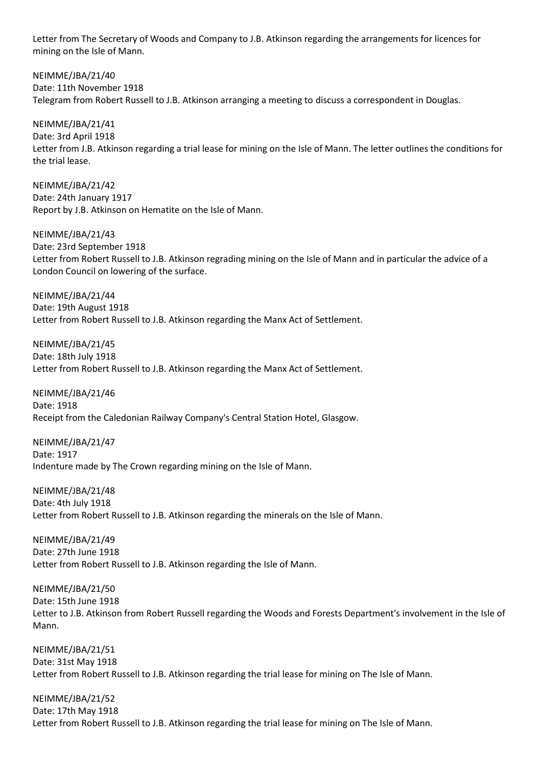Letter from The Secretary of Woods and Company to J.B. Atkinson regarding the arrangements for licences for mining on the Isle of Mann.

NEIMME/JBA/21/40 Date: 11th November 1918 Telegram from Robert Russell to J.B. Atkinson arranging a meeting to discuss a correspondent in Douglas.

NEIMME/JBA/21/41 Date: 3rd April 1918 Letter from J.B. Atkinson regarding a trial lease for mining on the Isle of Mann. The letter outlines the conditions for the trial lease.

NEIMME/JBA/21/42 Date: 24th January 1917 Report by J.B. Atkinson on Hematite on the Isle of Mann.

NEIMME/JBA/21/43 Date: 23rd September 1918 Letter from Robert Russell to J.B. Atkinson regrading mining on the Isle of Mann and in particular the advice of a London Council on lowering of the surface.

NEIMME/JBA/21/44 Date: 19th August 1918 Letter from Robert Russell to J.B. Atkinson regarding the Manx Act of Settlement.

NEIMME/JBA/21/45 Date: 18th July 1918 Letter from Robert Russell to J.B. Atkinson regarding the Manx Act of Settlement.

NEIMME/JBA/21/46 Date: 1918 Receipt from the Caledonian Railway Company's Central Station Hotel, Glasgow.

NEIMME/JBA/21/47 Date: 1917 Indenture made by The Crown regarding mining on the Isle of Mann.

NEIMME/JBA/21/48 Date: 4th July 1918 Letter from Robert Russell to J.B. Atkinson regarding the minerals on the Isle of Mann.

NEIMME/JBA/21/49 Date: 27th June 1918 Letter from Robert Russell to J.B. Atkinson regarding the Isle of Mann.

NEIMME/JBA/21/50 Date: 15th June 1918 Letter to J.B. Atkinson from Robert Russell regarding the Woods and Forests Department's involvement in the Isle of Mann.

NEIMME/JBA/21/51 Date: 31st May 1918 Letter from Robert Russell to J.B. Atkinson regarding the trial lease for mining on The Isle of Mann.

NEIMME/JBA/21/52 Date: 17th May 1918 Letter from Robert Russell to J.B. Atkinson regarding the trial lease for mining on The Isle of Mann.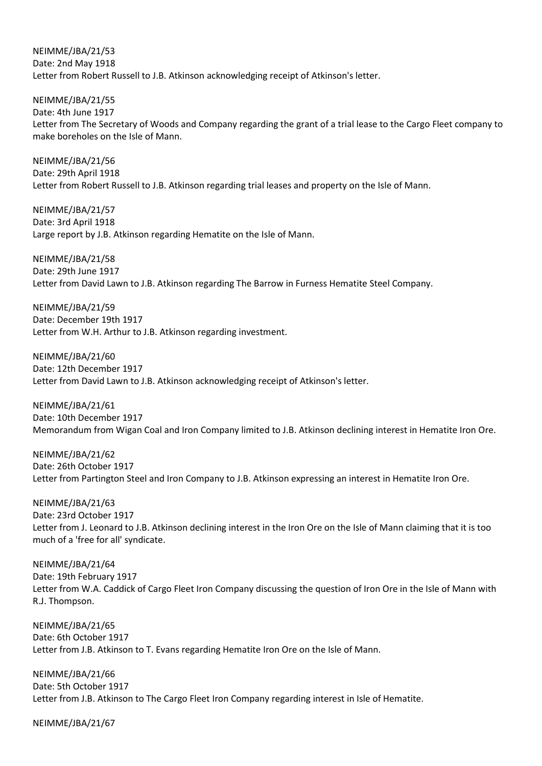NEIMME/JBA/21/53 Date: 2nd May 1918 Letter from Robert Russell to J.B. Atkinson acknowledging receipt of Atkinson's letter.

NEIMME/JBA/21/55 Date: 4th June 1917 Letter from The Secretary of Woods and Company regarding the grant of a trial lease to the Cargo Fleet company to make boreholes on the Isle of Mann.

NEIMME/JBA/21/56 Date: 29th April 1918 Letter from Robert Russell to J.B. Atkinson regarding trial leases and property on the Isle of Mann.

NEIMME/JBA/21/57 Date: 3rd April 1918 Large report by J.B. Atkinson regarding Hematite on the Isle of Mann.

NEIMME/JBA/21/58 Date: 29th June 1917 Letter from David Lawn to J.B. Atkinson regarding The Barrow in Furness Hematite Steel Company.

NEIMME/JBA/21/59 Date: December 19th 1917 Letter from W.H. Arthur to J.B. Atkinson regarding investment.

NEIMME/JBA/21/60 Date: 12th December 1917 Letter from David Lawn to J.B. Atkinson acknowledging receipt of Atkinson's letter.

NEIMME/JBA/21/61 Date: 10th December 1917 Memorandum from Wigan Coal and Iron Company limited to J.B. Atkinson declining interest in Hematite Iron Ore.

NEIMME/JBA/21/62 Date: 26th October 1917 Letter from Partington Steel and Iron Company to J.B. Atkinson expressing an interest in Hematite Iron Ore.

NEIMME/JBA/21/63 Date: 23rd October 1917 Letter from J. Leonard to J.B. Atkinson declining interest in the Iron Ore on the Isle of Mann claiming that it is too much of a 'free for all' syndicate.

NEIMME/JBA/21/64 Date: 19th February 1917 Letter from W.A. Caddick of Cargo Fleet Iron Company discussing the question of Iron Ore in the Isle of Mann with R.J. Thompson.

NEIMME/JBA/21/65 Date: 6th October 1917 Letter from J.B. Atkinson to T. Evans regarding Hematite Iron Ore on the Isle of Mann.

NEIMME/JBA/21/66 Date: 5th October 1917 Letter from J.B. Atkinson to The Cargo Fleet Iron Company regarding interest in Isle of Hematite.

NEIMME/JBA/21/67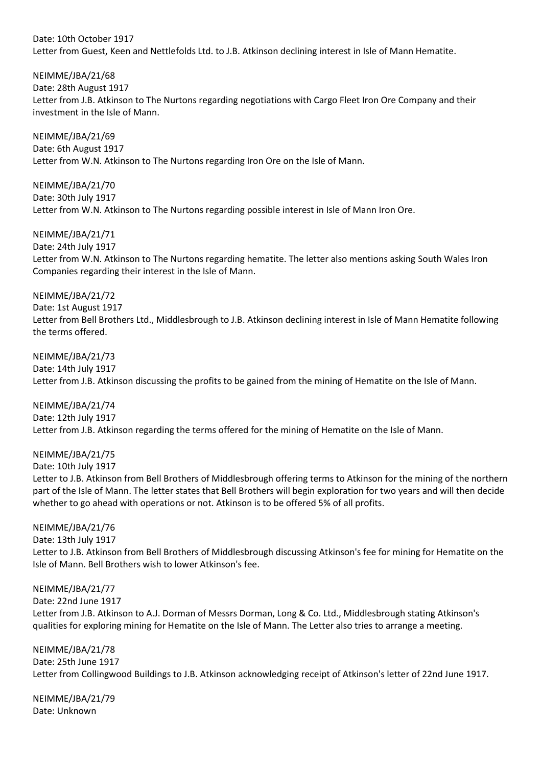## Date: 10th October 1917 Letter from Guest, Keen and Nettlefolds Ltd. to J.B. Atkinson declining interest in Isle of Mann Hematite.

NEIMME/JBA/21/68

Date: 28th August 1917

Letter from J.B. Atkinson to The Nurtons regarding negotiations with Cargo Fleet Iron Ore Company and their investment in the Isle of Mann.

NEIMME/JBA/21/69 Date: 6th August 1917 Letter from W.N. Atkinson to The Nurtons regarding Iron Ore on the Isle of Mann.

NEIMME/JBA/21/70 Date: 30th July 1917 Letter from W.N. Atkinson to The Nurtons regarding possible interest in Isle of Mann Iron Ore.

NEIMME/JBA/21/71 Date: 24th July 1917 Letter from W.N. Atkinson to The Nurtons regarding hematite. The letter also mentions asking South Wales Iron Companies regarding their interest in the Isle of Mann.

NEIMME/JBA/21/72 Date: 1st August 1917 Letter from Bell Brothers Ltd., Middlesbrough to J.B. Atkinson declining interest in Isle of Mann Hematite following the terms offered.

NEIMME/JBA/21/73 Date: 14th July 1917 Letter from J.B. Atkinson discussing the profits to be gained from the mining of Hematite on the Isle of Mann.

NEIMME/JBA/21/74 Date: 12th July 1917 Letter from J.B. Atkinson regarding the terms offered for the mining of Hematite on the Isle of Mann.

NEIMME/JBA/21/75

Date: 10th July 1917 Letter to J.B. Atkinson from Bell Brothers of Middlesbrough offering terms to Atkinson for the mining of the northern part of the Isle of Mann. The letter states that Bell Brothers will begin exploration for two years and will then decide whether to go ahead with operations or not. Atkinson is to be offered 5% of all profits.

NEIMME/JBA/21/76 Date: 13th July 1917 Letter to J.B. Atkinson from Bell Brothers of Middlesbrough discussing Atkinson's fee for mining for Hematite on the Isle of Mann. Bell Brothers wish to lower Atkinson's fee.

NEIMME/JBA/21/77 Date: 22nd June 1917 Letter from J.B. Atkinson to A.J. Dorman of Messrs Dorman, Long & Co. Ltd., Middlesbrough stating Atkinson's qualities for exploring mining for Hematite on the Isle of Mann. The Letter also tries to arrange a meeting.

NEIMME/JBA/21/78 Date: 25th June 1917 Letter from Collingwood Buildings to J.B. Atkinson acknowledging receipt of Atkinson's letter of 22nd June 1917.

NEIMME/JBA/21/79 Date: Unknown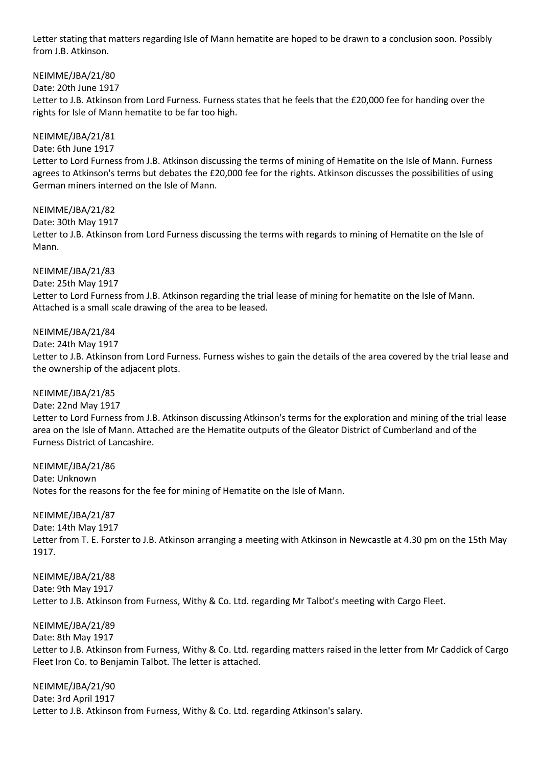Letter stating that matters regarding Isle of Mann hematite are hoped to be drawn to a conclusion soon. Possibly from J.B. Atkinson.

NEIMME/JBA/21/80

Date: 20th June 1917

Letter to J.B. Atkinson from Lord Furness. Furness states that he feels that the £20,000 fee for handing over the rights for Isle of Mann hematite to be far too high.

NEIMME/JBA/21/81

Date: 6th June 1917

Letter to Lord Furness from J.B. Atkinson discussing the terms of mining of Hematite on the Isle of Mann. Furness agrees to Atkinson's terms but debates the £20,000 fee for the rights. Atkinson discusses the possibilities of using German miners interned on the Isle of Mann.

NEIMME/JBA/21/82 Date: 30th May 1917 Letter to J.B. Atkinson from Lord Furness discussing the terms with regards to mining of Hematite on the Isle of Mann.

NEIMME/JBA/21/83 Date: 25th May 1917 Letter to Lord Furness from J.B. Atkinson regarding the trial lease of mining for hematite on the Isle of Mann. Attached is a small scale drawing of the area to be leased.

NEIMME/JBA/21/84

Date: 24th May 1917

Letter to J.B. Atkinson from Lord Furness. Furness wishes to gain the details of the area covered by the trial lease and the ownership of the adjacent plots.

NEIMME/JBA/21/85

Date: 22nd May 1917 Letter to Lord Furness from J.B. Atkinson discussing Atkinson's terms for the exploration and mining of the trial lease area on the Isle of Mann. Attached are the Hematite outputs of the Gleator District of Cumberland and of the Furness District of Lancashire.

NEIMME/JBA/21/86 Date: Unknown Notes for the reasons for the fee for mining of Hematite on the Isle of Mann.

NEIMME/JBA/21/87

Date: 14th May 1917

Letter from T. E. Forster to J.B. Atkinson arranging a meeting with Atkinson in Newcastle at 4.30 pm on the 15th May 1917.

NEIMME/JBA/21/88 Date: 9th May 1917 Letter to J.B. Atkinson from Furness, Withy & Co. Ltd. regarding Mr Talbot's meeting with Cargo Fleet.

NEIMME/JBA/21/89

Date: 8th May 1917 Letter to J.B. Atkinson from Furness, Withy & Co. Ltd. regarding matters raised in the letter from Mr Caddick of Cargo Fleet Iron Co. to Benjamin Talbot. The letter is attached.

NEIMME/JBA/21/90 Date: 3rd April 1917 Letter to J.B. Atkinson from Furness, Withy & Co. Ltd. regarding Atkinson's salary.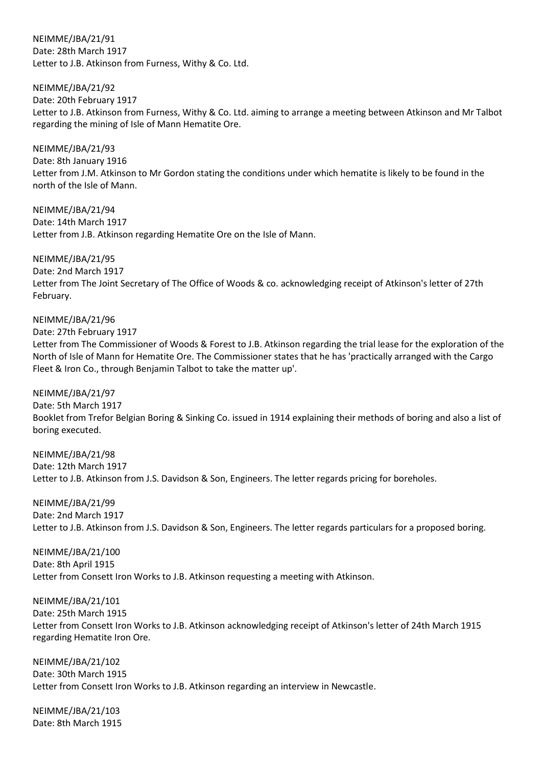NEIMME/JBA/21/91 Date: 28th March 1917 Letter to J.B. Atkinson from Furness, Withy & Co. Ltd.

NEIMME/JBA/21/92 Date: 20th February 1917 Letter to J.B. Atkinson from Furness, Withy & Co. Ltd. aiming to arrange a meeting between Atkinson and Mr Talbot regarding the mining of Isle of Mann Hematite Ore.

NEIMME/JBA/21/93 Date: 8th January 1916 Letter from J.M. Atkinson to Mr Gordon stating the conditions under which hematite is likely to be found in the north of the Isle of Mann.

NEIMME/JBA/21/94 Date: 14th March 1917 Letter from J.B. Atkinson regarding Hematite Ore on the Isle of Mann.

NEIMME/JBA/21/95 Date: 2nd March 1917 Letter from The Joint Secretary of The Office of Woods & co. acknowledging receipt of Atkinson's letter of 27th February.

NEIMME/JBA/21/96

Date: 27th February 1917

Letter from The Commissioner of Woods & Forest to J.B. Atkinson regarding the trial lease for the exploration of the North of Isle of Mann for Hematite Ore. The Commissioner states that he has 'practically arranged with the Cargo Fleet & Iron Co., through Benjamin Talbot to take the matter up'.

NEIMME/JBA/21/97

Date: 5th March 1917 Booklet from Trefor Belgian Boring & Sinking Co. issued in 1914 explaining their methods of boring and also a list of boring executed.

NEIMME/JBA/21/98 Date: 12th March 1917 Letter to J.B. Atkinson from J.S. Davidson & Son, Engineers. The letter regards pricing for boreholes.

NEIMME/JBA/21/99 Date: 2nd March 1917 Letter to J.B. Atkinson from J.S. Davidson & Son, Engineers. The letter regards particulars for a proposed boring.

NEIMME/JBA/21/100 Date: 8th April 1915 Letter from Consett Iron Works to J.B. Atkinson requesting a meeting with Atkinson.

NEIMME/JBA/21/101

Date: 25th March 1915

Letter from Consett Iron Works to J.B. Atkinson acknowledging receipt of Atkinson's letter of 24th March 1915 regarding Hematite Iron Ore.

NEIMME/JBA/21/102 Date: 30th March 1915 Letter from Consett Iron Works to J.B. Atkinson regarding an interview in Newcastle.

NEIMME/JBA/21/103 Date: 8th March 1915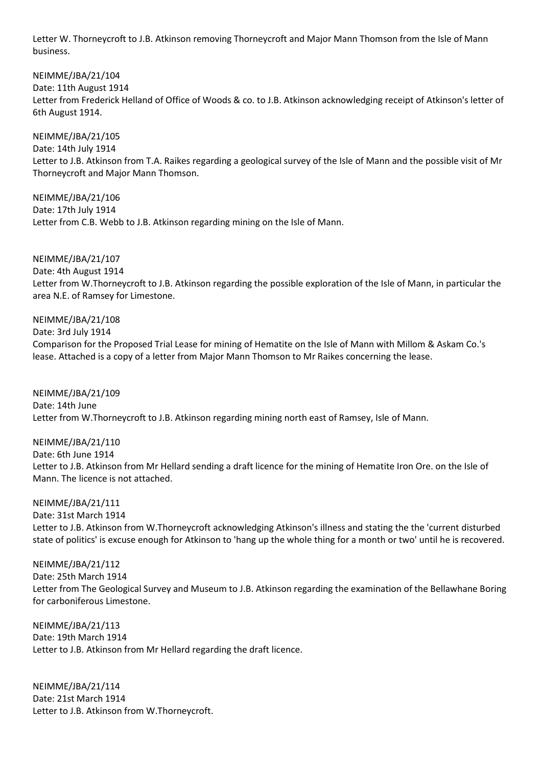Letter W. Thorneycroft to J.B. Atkinson removing Thorneycroft and Major Mann Thomson from the Isle of Mann business.

NEIMME/JBA/21/104 Date: 11th August 1914 Letter from Frederick Helland of Office of Woods & co. to J.B. Atkinson acknowledging receipt of Atkinson's letter of 6th August 1914.

NEIMME/JBA/21/105 Date: 14th July 1914 Letter to J.B. Atkinson from T.A. Raikes regarding a geological survey of the Isle of Mann and the possible visit of Mr Thorneycroft and Major Mann Thomson.

NEIMME/JBA/21/106 Date: 17th July 1914 Letter from C.B. Webb to J.B. Atkinson regarding mining on the Isle of Mann.

NEIMME/JBA/21/107 Date: 4th August 1914 Letter from W.Thorneycroft to J.B. Atkinson regarding the possible exploration of the Isle of Mann, in particular the area N.E. of Ramsey for Limestone.

NEIMME/JBA/21/108 Date: 3rd July 1914

Comparison for the Proposed Trial Lease for mining of Hematite on the Isle of Mann with Millom & Askam Co.'s lease. Attached is a copy of a letter from Major Mann Thomson to Mr Raikes concerning the lease.

NEIMME/JBA/21/109 Date: 14th June Letter from W.Thorneycroft to J.B. Atkinson regarding mining north east of Ramsey, Isle of Mann.

NEIMME/JBA/21/110 Date: 6th June 1914 Letter to J.B. Atkinson from Mr Hellard sending a draft licence for the mining of Hematite Iron Ore. on the Isle of Mann. The licence is not attached.

NEIMME/JBA/21/111 Date: 31st March 1914 Letter to J.B. Atkinson from W.Thorneycroft acknowledging Atkinson's illness and stating the the 'current disturbed state of politics' is excuse enough for Atkinson to 'hang up the whole thing for a month or two' until he is recovered.

NEIMME/JBA/21/112 Date: 25th March 1914 Letter from The Geological Survey and Museum to J.B. Atkinson regarding the examination of the Bellawhane Boring for carboniferous Limestone.

NEIMME/JBA/21/113 Date: 19th March 1914 Letter to J.B. Atkinson from Mr Hellard regarding the draft licence.

NEIMME/JBA/21/114 Date: 21st March 1914 Letter to J.B. Atkinson from W.Thorneycroft.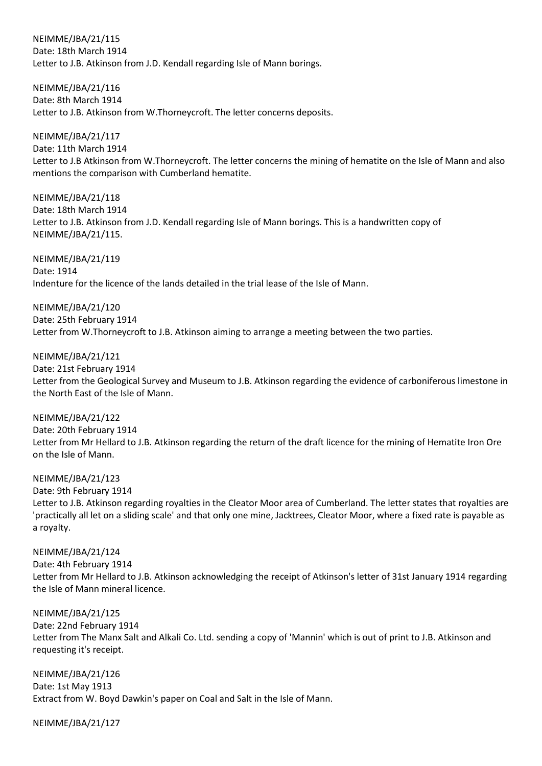NEIMME/JBA/21/115 Date: 18th March 1914 Letter to J.B. Atkinson from J.D. Kendall regarding Isle of Mann borings.

NEIMME/JBA/21/116 Date: 8th March 1914 Letter to J.B. Atkinson from W.Thorneycroft. The letter concerns deposits.

NEIMME/JBA/21/117 Date: 11th March 1914 Letter to J.B Atkinson from W.Thorneycroft. The letter concerns the mining of hematite on the Isle of Mann and also mentions the comparison with Cumberland hematite.

NEIMME/JBA/21/118 Date: 18th March 1914 Letter to J.B. Atkinson from J.D. Kendall regarding Isle of Mann borings. This is a handwritten copy of NEIMME/JBA/21/115.

NEIMME/JBA/21/119 Date: 1914 Indenture for the licence of the lands detailed in the trial lease of the Isle of Mann.

NEIMME/JBA/21/120 Date: 25th February 1914 Letter from W.Thorneycroft to J.B. Atkinson aiming to arrange a meeting between the two parties.

NEIMME/JBA/21/121 Date: 21st February 1914 Letter from the Geological Survey and Museum to J.B. Atkinson regarding the evidence of carboniferous limestone in the North East of the Isle of Mann.

NEIMME/JBA/21/122 Date: 20th February 1914 Letter from Mr Hellard to J.B. Atkinson regarding the return of the draft licence for the mining of Hematite Iron Ore on the Isle of Mann.

NEIMME/JBA/21/123

Date: 9th February 1914

Letter to J.B. Atkinson regarding royalties in the Cleator Moor area of Cumberland. The letter states that royalties are 'practically all let on a sliding scale' and that only one mine, Jacktrees, Cleator Moor, where a fixed rate is payable as a royalty.

### NEIMME/JBA/21/124

Date: 4th February 1914 Letter from Mr Hellard to J.B. Atkinson acknowledging the receipt of Atkinson's letter of 31st January 1914 regarding the Isle of Mann mineral licence.

NEIMME/JBA/21/125

Date: 22nd February 1914

Letter from The Manx Salt and Alkali Co. Ltd. sending a copy of 'Mannin' which is out of print to J.B. Atkinson and requesting it's receipt.

NEIMME/JBA/21/126 Date: 1st May 1913 Extract from W. Boyd Dawkin's paper on Coal and Salt in the Isle of Mann.

NEIMME/JBA/21/127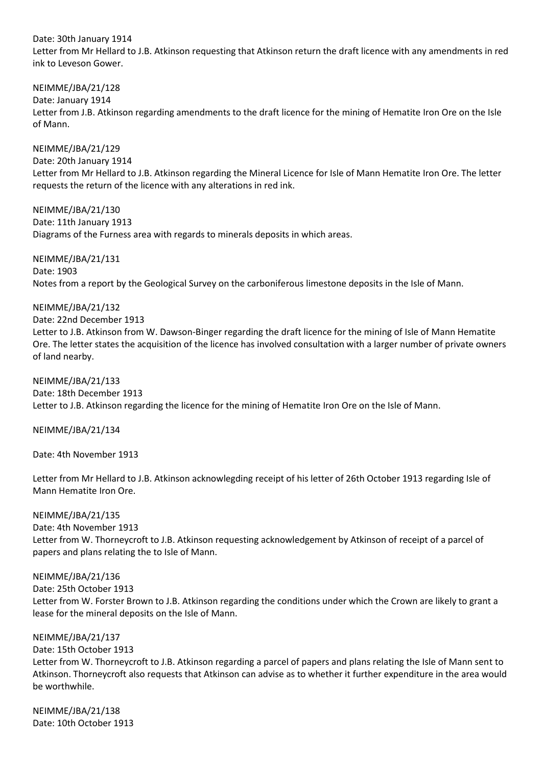Date: 30th January 1914 Letter from Mr Hellard to J.B. Atkinson requesting that Atkinson return the draft licence with any amendments in red ink to Leveson Gower.

NEIMME/JBA/21/128 Date: January 1914 Letter from J.B. Atkinson regarding amendments to the draft licence for the mining of Hematite Iron Ore on the Isle of Mann.

NEIMME/JBA/21/129 Date: 20th January 1914 Letter from Mr Hellard to J.B. Atkinson regarding the Mineral Licence for Isle of Mann Hematite Iron Ore. The letter requests the return of the licence with any alterations in red ink.

NEIMME/JBA/21/130 Date: 11th January 1913 Diagrams of the Furness area with regards to minerals deposits in which areas.

NEIMME/JBA/21/131 Date: 1903 Notes from a report by the Geological Survey on the carboniferous limestone deposits in the Isle of Mann.

NEIMME/JBA/21/132

Date: 22nd December 1913

Letter to J.B. Atkinson from W. Dawson-Binger regarding the draft licence for the mining of Isle of Mann Hematite Ore. The letter states the acquisition of the licence has involved consultation with a larger number of private owners of land nearby.

NEIMME/JBA/21/133 Date: 18th December 1913 Letter to J.B. Atkinson regarding the licence for the mining of Hematite Iron Ore on the Isle of Mann.

NEIMME/JBA/21/134

Date: 4th November 1913

Letter from Mr Hellard to J.B. Atkinson acknowlegding receipt of his letter of 26th October 1913 regarding Isle of Mann Hematite Iron Ore.

#### NEIMME/JBA/21/135

Date: 4th November 1913 Letter from W. Thorneycroft to J.B. Atkinson requesting acknowledgement by Atkinson of receipt of a parcel of papers and plans relating the to Isle of Mann.

#### NEIMME/JBA/21/136

Date: 25th October 1913

Letter from W. Forster Brown to J.B. Atkinson regarding the conditions under which the Crown are likely to grant a lease for the mineral deposits on the Isle of Mann.

#### NEIMME/JBA/21/137

Date: 15th October 1913

Letter from W. Thorneycroft to J.B. Atkinson regarding a parcel of papers and plans relating the Isle of Mann sent to Atkinson. Thorneycroft also requests that Atkinson can advise as to whether it further expenditure in the area would be worthwhile.

NEIMME/JBA/21/138 Date: 10th October 1913